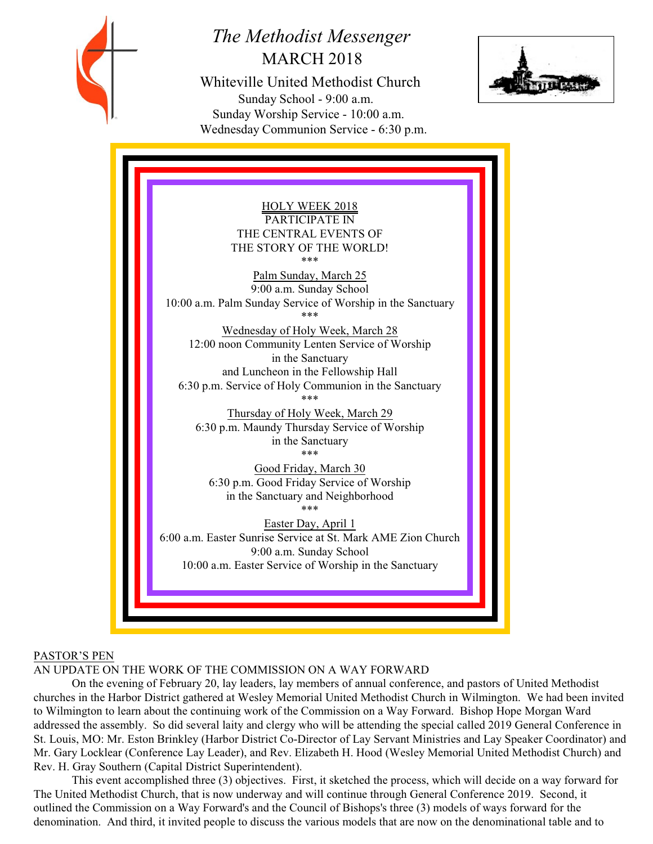

# *The Methodist Messenger* MARCH 2018

 Whiteville United Methodist Church Sunday School - 9:00 a.m. Sunday Worship Service - 10:00 a.m. Wednesday Communion Service - 6:30 p.m.



HOLY WEEK 2018 PARTICIPATE IN THE CENTRAL EVENTS OF THE STORY OF THE WORLD! \*\*\* Palm Sunday, March 25 9:00 a.m. Sunday School 10:00 a.m. Palm Sunday Service of Worship in the Sanctuary \*\*\* Wednesday of Holy Week, March 28 12:00 noon Community Lenten Service of Worship in the Sanctuary and Luncheon in the Fellowship Hall 6:30 p.m. Service of Holy Communion in the Sanctuary \*\*\* Thursday of Holy Week, March 29 6:30 p.m. Maundy Thursday Service of Worship in the Sanctuary \*\*\* Good Friday, March 30 6:30 p.m. Good Friday Service of Worship in the Sanctuary and Neighborhood \*\*\* Easter Day, April 1 6:00 a.m. Easter Sunrise Service at St. Mark AME Zion Church 9:00 a.m. Sunday School 10:00 a.m. Easter Service of Worship in the Sanctuary

# PASTOR'S PEN

AN UPDATE ON THE WORK OF THE COMMISSION ON A WAY FORWARD

On the evening of February 20, lay leaders, lay members of annual conference, and pastors of United Methodist churches in the Harbor District gathered at Wesley Memorial United Methodist Church in Wilmington. We had been invited to Wilmington to learn about the continuing work of the Commission on a Way Forward. Bishop Hope Morgan Ward addressed the assembly. So did several laity and clergy who will be attending the special called 2019 General Conference in St. Louis, MO: Mr. Eston Brinkley (Harbor District Co-Director of Lay Servant Ministries and Lay Speaker Coordinator) and Mr. Gary Locklear (Conference Lay Leader), and Rev. Elizabeth H. Hood (Wesley Memorial United Methodist Church) and Rev. H. Gray Southern (Capital District Superintendent).

This event accomplished three (3) objectives. First, it sketched the process, which will decide on a way forward for The United Methodist Church, that is now underway and will continue through General Conference 2019. Second, it outlined the Commission on a Way Forward's and the Council of Bishops's three (3) models of ways forward for the denomination. And third, it invited people to discuss the various models that are now on the denominational table and to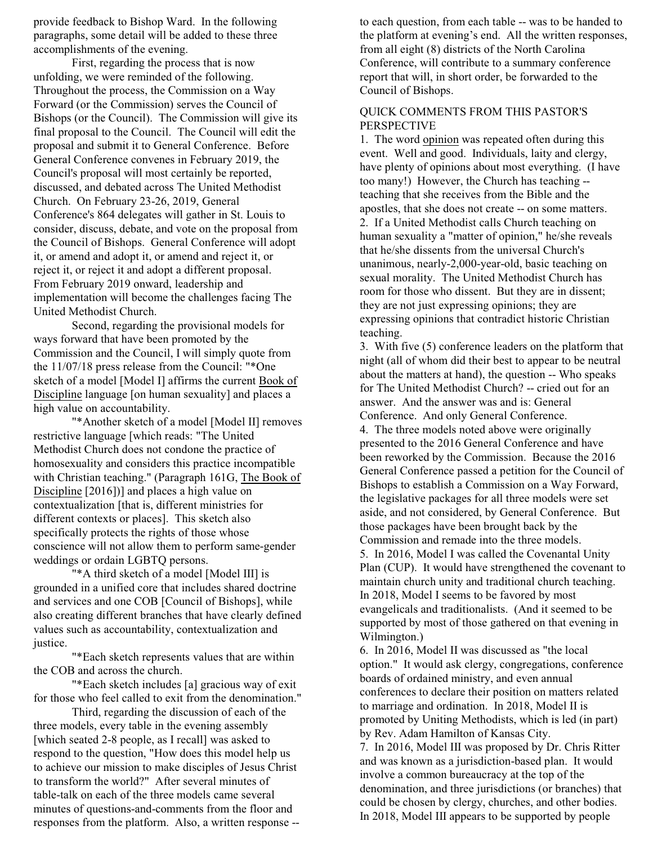provide feedback to Bishop Ward. In the following paragraphs, some detail will be added to these three accomplishments of the evening.

First, regarding the process that is now unfolding, we were reminded of the following. Throughout the process, the Commission on a Way Forward (or the Commission) serves the Council of Bishops (or the Council). The Commission will give its final proposal to the Council. The Council will edit the proposal and submit it to General Conference. Before General Conference convenes in February 2019, the Council's proposal will most certainly be reported, discussed, and debated across The United Methodist Church. On February 23-26, 2019, General Conference's 864 delegates will gather in St. Louis to consider, discuss, debate, and vote on the proposal from the Council of Bishops. General Conference will adopt it, or amend and adopt it, or amend and reject it, or reject it, or reject it and adopt a different proposal. From February 2019 onward, leadership and implementation will become the challenges facing The United Methodist Church.

Second, regarding the provisional models for ways forward that have been promoted by the Commission and the Council, I will simply quote from the 11/07/18 press release from the Council: "\*One sketch of a model [Model I] affirms the current Book of Discipline language [on human sexuality] and places a high value on accountability.

"\*Another sketch of a model [Model II] removes restrictive language [which reads: "The United Methodist Church does not condone the practice of homosexuality and considers this practice incompatible with Christian teaching." (Paragraph 161G, The Book of Discipline [2016])] and places a high value on contextualization [that is, different ministries for different contexts or places]. This sketch also specifically protects the rights of those whose conscience will not allow them to perform same-gender weddings or ordain LGBTQ persons.

"\*A third sketch of a model [Model III] is grounded in a unified core that includes shared doctrine and services and one COB [Council of Bishops], while also creating different branches that have clearly defined values such as accountability, contextualization and justice.

"\*Each sketch represents values that are within the COB and across the church.

"\*Each sketch includes [a] gracious way of exit for those who feel called to exit from the denomination."

Third, regarding the discussion of each of the three models, every table in the evening assembly [which seated 2-8 people, as I recall] was asked to respond to the question, "How does this model help us to achieve our mission to make disciples of Jesus Christ to transform the world?" After several minutes of table-talk on each of the three models came several minutes of questions-and-comments from the floor and responses from the platform. Also, a written response -- to each question, from each table -- was to be handed to the platform at evening's end. All the written responses, from all eight (8) districts of the North Carolina Conference, will contribute to a summary conference report that will, in short order, be forwarded to the Council of Bishops.

# QUICK COMMENTS FROM THIS PASTOR'S PERSPECTIVE

1. The word opinion was repeated often during this event. Well and good. Individuals, laity and clergy, have plenty of opinions about most everything. (I have too many!) However, the Church has teaching - teaching that she receives from the Bible and the apostles, that she does not create -- on some matters. 2. If a United Methodist calls Church teaching on human sexuality a "matter of opinion," he/she reveals that he/she dissents from the universal Church's unanimous, nearly-2,000-year-old, basic teaching on sexual morality. The United Methodist Church has room for those who dissent. But they are in dissent; they are not just expressing opinions; they are expressing opinions that contradict historic Christian teaching.

3. With five (5) conference leaders on the platform that night (all of whom did their best to appear to be neutral about the matters at hand), the question -- Who speaks for The United Methodist Church? -- cried out for an answer. And the answer was and is: General Conference. And only General Conference.

4. The three models noted above were originally presented to the 2016 General Conference and have been reworked by the Commission. Because the 2016 General Conference passed a petition for the Council of Bishops to establish a Commission on a Way Forward, the legislative packages for all three models were set aside, and not considered, by General Conference. But those packages have been brought back by the Commission and remade into the three models.

5. In 2016, Model I was called the Covenantal Unity Plan (CUP). It would have strengthened the covenant to maintain church unity and traditional church teaching. In 2018, Model I seems to be favored by most evangelicals and traditionalists. (And it seemed to be supported by most of those gathered on that evening in Wilmington.)

6. In 2016, Model II was discussed as "the local option." It would ask clergy, congregations, conference boards of ordained ministry, and even annual conferences to declare their position on matters related to marriage and ordination. In 2018, Model II is promoted by Uniting Methodists, which is led (in part) by Rev. Adam Hamilton of Kansas City.

7. In 2016, Model III was proposed by Dr. Chris Ritter and was known as a jurisdiction-based plan. It would involve a common bureaucracy at the top of the denomination, and three jurisdictions (or branches) that could be chosen by clergy, churches, and other bodies. In 2018, Model III appears to be supported by people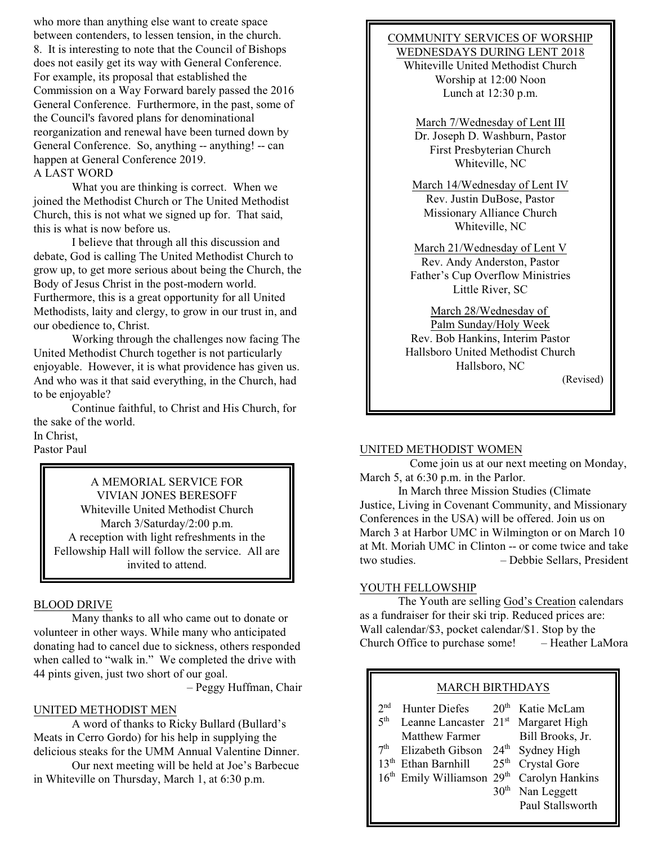who more than anything else want to create space between contenders, to lessen tension, in the church. 8. It is interesting to note that the Council of Bishops does not easily get its way with General Conference. For example, its proposal that established the Commission on a Way Forward barely passed the 2016 General Conference. Furthermore, in the past, some of the Council's favored plans for denominational reorganization and renewal have been turned down by General Conference. So, anything -- anything! -- can happen at General Conference 2019. A LAST WORD

What you are thinking is correct. When we joined the Methodist Church or The United Methodist Church, this is not what we signed up for. That said, this is what is now before us.

I believe that through all this discussion and debate, God is calling The United Methodist Church to grow up, to get more serious about being the Church, the Body of Jesus Christ in the post-modern world. Furthermore, this is a great opportunity for all United Methodists, laity and clergy, to grow in our trust in, and our obedience to, Christ.

Working through the challenges now facing The United Methodist Church together is not particularly enjoyable. However, it is what providence has given us. And who was it that said everything, in the Church, had to be enjoyable?

Continue faithful, to Christ and His Church, for the sake of the world. In Christ, Pastor Paul

A MEMORIAL SERVICE FOR VIVIAN JONES BERESOFF Whiteville United Methodist Church March 3/Saturday/2:00 p.m. A reception with light refreshments in the Fellowship Hall will follow the service. All are invited to attend.

# BLOOD DRIVE

Many thanks to all who came out to donate or volunteer in other ways. While many who anticipated donating had to cancel due to sickness, others responded when called to "walk in." We completed the drive with 44 pints given, just two short of our goal.

– Peggy Huffman, Chair

## UNITED METHODIST MEN

A word of thanks to Ricky Bullard (Bullard's Meats in Cerro Gordo) for his help in supplying the delicious steaks for the UMM Annual Valentine Dinner.

Our next meeting will be held at Joe's Barbecue in Whiteville on Thursday, March 1, at 6:30 p.m.

## COMMUNITY SERVICES OF WORSHIP WEDNESDAYS DURING LENT 2018

Whiteville United Methodist Church Worship at 12:00 Noon Lunch at 12:30 p.m.

March 7/Wednesday of Lent III Dr. Joseph D. Washburn, Pastor First Presbyterian Church Whiteville, NC

March 14/Wednesday of Lent IV Rev. Justin DuBose, Pastor Missionary Alliance Church Whiteville, NC

March 21/Wednesday of Lent V Rev. Andy Anderston, Pastor Father's Cup Overflow Ministries Little River, SC

March 28/Wednesday of Palm Sunday/Holy Week Rev. Bob Hankins, Interim Pastor Hallsboro United Methodist Church Hallsboro, NC

(Revised)

#### UNITED METHODIST WOMEN

 Come join us at our next meeting on Monday, March 5, at 6:30 p.m. in the Parlor.

In March three Mission Studies (Climate Justice, Living in Covenant Community, and Missionary Conferences in the USA) will be offered. Join us on March 3 at Harbor UMC in Wilmington or on March 10 at Mt. Moriah UMC in Clinton -- or come twice and take two studies. – Debbie Sellars, President

#### YOUTH FELLOWSHIP

The Youth are selling God's Creation calendars as a fundraiser for their ski trip. Reduced prices are: Wall calendar/\$3, pocket calendar/\$1. Stop by the Church Office to purchase some! – Heather LaMora

| <b>MARCH BIRTHDAYS</b>                                                    |                                                                                                                                                        |                                                                                           |                                                                                                                          |
|---------------------------------------------------------------------------|--------------------------------------------------------------------------------------------------------------------------------------------------------|-------------------------------------------------------------------------------------------|--------------------------------------------------------------------------------------------------------------------------|
| 2 <sub>nd</sub><br>5 <sup>th</sup><br>7 <sup>th</sup><br>13 <sup>th</sup> | <b>Hunter Diefes</b><br>Leanne Lancaster<br>Matthew Farmer<br>Elizabeth Gibson<br>Ethan Barnhill<br>16 <sup>th</sup> Emily Williamson 29 <sup>th</sup> | 20 <sup>th</sup><br>$21^{st}$<br>$24^{\text{th}}$<br>25 <sup>th</sup><br>30 <sup>th</sup> | Katie McLam<br>Margaret High<br>Bill Brooks, Jr.<br>Sydney High<br><b>Crystal Gore</b><br>Carolyn Hankins<br>Nan Leggett |
|                                                                           |                                                                                                                                                        |                                                                                           | Paul Stallsworth                                                                                                         |